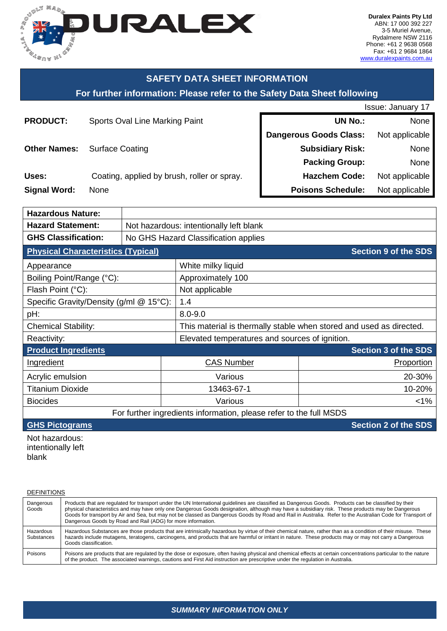

# **SAFETY DATA SHEET INFORMATION**

# **For further information: Please refer to the Safety Data Sheet following**

|                     |                                             | <b>Issue: January 17</b>      |                |  |
|---------------------|---------------------------------------------|-------------------------------|----------------|--|
| <b>PRODUCT:</b>     | Sports Oval Line Marking Paint              | <b>UN No.:</b>                | None           |  |
|                     |                                             | <b>Dangerous Goods Class:</b> | Not applicable |  |
| <b>Other Names:</b> | <b>Surface Coating</b>                      | <b>Subsidiary Risk:</b>       | None           |  |
|                     |                                             | <b>Packing Group:</b>         | None           |  |
| Uses:               | Coating, applied by brush, roller or spray. | <b>Hazchem Code:</b>          | Not applicable |  |
| <b>Signal Word:</b> | None                                        | <b>Poisons Schedule:</b>      | Not applicable |  |

| <b>Hazardous Nature:</b>                                           |                                         |                                                                     |                             |  |
|--------------------------------------------------------------------|-----------------------------------------|---------------------------------------------------------------------|-----------------------------|--|
| <b>Hazard Statement:</b>                                           | Not hazardous: intentionally left blank |                                                                     |                             |  |
| <b>GHS Classification:</b>                                         | No GHS Hazard Classification applies    |                                                                     |                             |  |
| <b>Physical Characteristics (Typical)</b>                          |                                         |                                                                     | <b>Section 9 of the SDS</b> |  |
| Appearance                                                         |                                         | White milky liquid                                                  |                             |  |
| Boiling Point/Range (°C):                                          |                                         | Approximately 100                                                   |                             |  |
| Flash Point (°C):                                                  |                                         | Not applicable                                                      |                             |  |
| Specific Gravity/Density (g/ml @ 15°C):                            |                                         | 1.4                                                                 |                             |  |
| pH:                                                                |                                         | $8.0 - 9.0$                                                         |                             |  |
| <b>Chemical Stability:</b>                                         |                                         | This material is thermally stable when stored and used as directed. |                             |  |
| Reactivity:                                                        |                                         | Elevated temperatures and sources of ignition.                      |                             |  |
| <b>Product Ingredients</b>                                         |                                         |                                                                     | <b>Section 3 of the SDS</b> |  |
| Ingredient                                                         |                                         | <b>CAS Number</b>                                                   | Proportion                  |  |
| Acrylic emulsion                                                   |                                         | Various                                                             | 20-30%                      |  |
| <b>Titanium Dioxide</b>                                            |                                         | 13463-67-1                                                          | 10-20%                      |  |
| <b>Biocides</b>                                                    |                                         | Various                                                             | $< 1\%$                     |  |
| For further ingredients information, please refer to the full MSDS |                                         |                                                                     |                             |  |
| <b>GHS Pictograms</b><br><b>Section 2 of the SDS</b>               |                                         |                                                                     |                             |  |

Not hazardous: intentionally left blank

**DEFINITIONS** 

Dangerous Goods Products that are regulated for transport under the UN International guidelines are classified as Dangerous Goods. Products can be classified by their physical characteristics and may have only one Dangerous Goods designation, although may have a subsidiary risk. These products may be Dangerous Goods for transport by Air and Sea, but may not be classed as Dangerous Goods by Road and Rail in Australia. Refer to the Australian Code for Transport of Dangerous Goods by Road and Rail (ADG) for more information. Hazardous Substances Hazardous Substances are those products that are intrinsically hazardous by virtue of their chemical nature, rather than as a condition of their misuse. These hazards include mutagens, teratogens, carcinogens, and products that are harmful or irritant in nature. These products may or may not carry a Dangerous Goods classification. Poisons Poisons are products that are regulated by the dose or exposure, often having physical and chemical effects at certain concentrations particular to the nature of the product. The associated warnings, cautions and First Aid instruction are prescriptive under the regulation in Australia.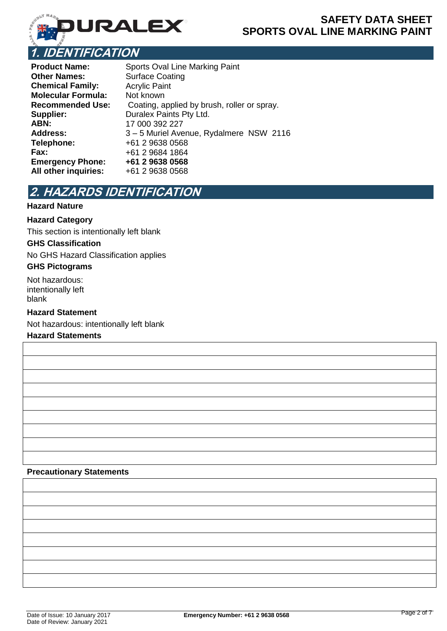

**Product Name:** Sports Oval Line Marking Paint **Other Names:** Surface Coating **Chemical Family:** Acrylic Paint **Molecular Formula:** Not known **Recommended Use:** Coating, applied by brush, roller or spray. **Supplier:** Duralex Paints Pty Ltd.<br>**ABN:** 17 000 392 227 **ABN:** 17 000 392 227 **Address:** 3 – 5 Muriel Avenue, Rydalmere NSW 2116<br> **Telephone:** +61 2 9638 0568 **Telephone:** +61 2 9638 0568 **Fax:** +61 2 9684 1864 **Emergency Phone: +61 2 9638 0568 All other inquiries:** +61 2 9638 0568

# **2. HAZARDS IDENTIFICATION**

## **Hazard Nature**

## **Hazard Category**

This section is intentionally left blank

#### **GHS Classification**

No GHS Hazard Classification applies

### **GHS Pictograms**

Not hazardous: intentionally left blank

### **Hazard Statement**

Not hazardous: intentionally left blank

## **Hazard Statements**

#### **Precautionary Statements**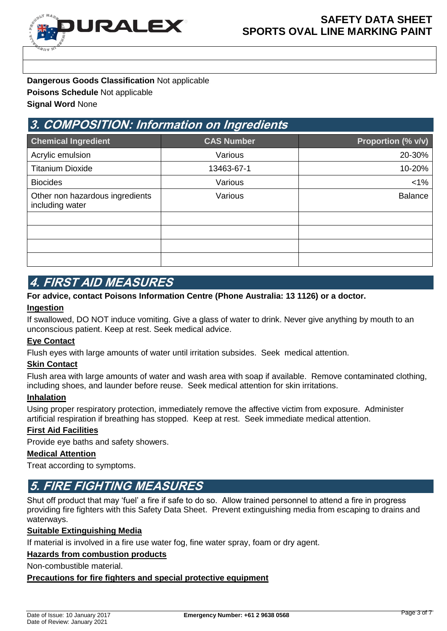

**Dangerous Goods Classification** Not applicable **Poisons Schedule** Not applicable **Signal Word** None

# **3. COMPOSITION: Information on Ingredients**

| <b>Chemical Ingredient</b>                         | <b>CAS Number</b> | Proportion (% v/v) |
|----------------------------------------------------|-------------------|--------------------|
| Acrylic emulsion                                   | Various           | 20-30%             |
| <b>Titanium Dioxide</b>                            | 13463-67-1        | 10-20%             |
| <b>Biocides</b>                                    | Various           | $1\%$              |
| Other non hazardous ingredients<br>including water | Various           | <b>Balance</b>     |
|                                                    |                   |                    |
|                                                    |                   |                    |
|                                                    |                   |                    |
|                                                    |                   |                    |

# **4. FIRST AID MEASURES**

### **For advice, contact Poisons Information Centre (Phone Australia: 13 1126) or a doctor.**

### **Ingestion**

If swallowed, DO NOT induce vomiting. Give a glass of water to drink. Never give anything by mouth to an unconscious patient. Keep at rest. Seek medical advice.

### **Eye Contact**

Flush eyes with large amounts of water until irritation subsides. Seek medical attention.

### **Skin Contact**

Flush area with large amounts of water and wash area with soap if available. Remove contaminated clothing, including shoes, and launder before reuse. Seek medical attention for skin irritations.

### **Inhalation**

Using proper respiratory protection, immediately remove the affective victim from exposure. Administer artificial respiration if breathing has stopped. Keep at rest. Seek immediate medical attention.

## **First Aid Facilities**

Provide eye baths and safety showers.

### **Medical Attention**

Treat according to symptoms.

# **5. FIRE FIGHTING MEASURES**

Shut off product that may 'fuel' a fire if safe to do so. Allow trained personnel to attend a fire in progress providing fire fighters with this Safety Data Sheet. Prevent extinguishing media from escaping to drains and waterways.

### **Suitable Extinguishing Media**

If material is involved in a fire use water fog, fine water spray, foam or dry agent.

### **Hazards from combustion products**

Non-combustible material.

**Precautions for fire fighters and special protective equipment**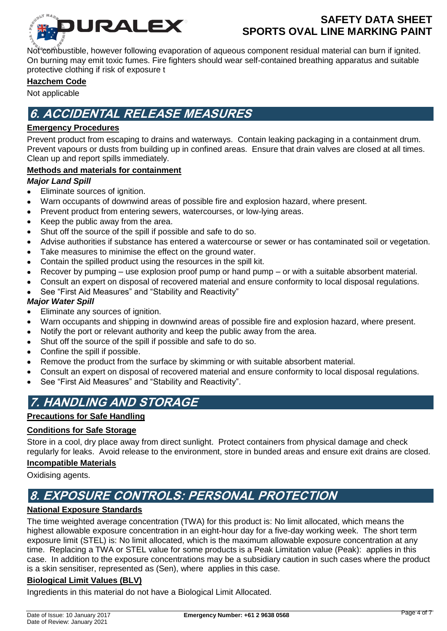

Not combustible, however following evaporation of aqueous component residual material can burn if ignited. On burning may emit toxic fumes. Fire fighters should wear self-contained breathing apparatus and suitable protective clothing if risk of exposure t

## **Hazchem Code**

Not applicable

# **6. ACCIDENTAL RELEASE MEASURES**

## **Emergency Procedures**

Prevent product from escaping to drains and waterways. Contain leaking packaging in a containment drum. Prevent vapours or dusts from building up in confined areas. Ensure that drain valves are closed at all times. Clean up and report spills immediately.

## **Methods and materials for containment**

## *Major Land Spill*

- Eliminate sources of ignition.  $\bullet$
- Warn occupants of downwind areas of possible fire and explosion hazard, where present.
- Prevent product from entering sewers, watercourses, or low-lying areas.
- Keep the public away from the area.
- Shut off the source of the spill if possible and safe to do so.
- Advise authorities if substance has entered a watercourse or sewer or has contaminated soil or vegetation.
- Take measures to minimise the effect on the ground water.
- Contain the spilled product using the resources in the spill kit.
- Recover by pumping use explosion proof pump or hand pump or with a suitable absorbent material.
- Consult an expert on disposal of recovered material and ensure conformity to local disposal regulations.
- See "First Aid Measures" and "Stability and Reactivity"

## *Major Water Spill*

- Eliminate any sources of ignition.
- Warn occupants and shipping in downwind areas of possible fire and explosion hazard, where present.
- Notify the port or relevant authority and keep the public away from the area.
- Shut off the source of the spill if possible and safe to do so.
- Confine the spill if possible.
- Remove the product from the surface by skimming or with suitable absorbent material.
- Consult an expert on disposal of recovered material and ensure conformity to local disposal regulations.
- See "First Aid Measures" and "Stability and Reactivity".

# **7. HANDLING AND STORAGE**

## **Precautions for Safe Handling**

## **Conditions for Safe Storage**

Store in a cool, dry place away from direct sunlight. Protect containers from physical damage and check regularly for leaks. Avoid release to the environment, store in bunded areas and ensure exit drains are closed.

## **Incompatible Materials**

Oxidising agents.

# **8. EXPOSURE CONTROLS: PERSONAL PROTECTION**

## **National Exposure Standards**

The time weighted average concentration (TWA) for this product is: No limit allocated, which means the highest allowable exposure concentration in an eight-hour day for a five-day working week. The short term exposure limit (STEL) is: No limit allocated, which is the maximum allowable exposure concentration at any time. Replacing a TWA or STEL value for some products is a Peak Limitation value (Peak): applies in this case. In addition to the exposure concentrations may be a subsidiary caution in such cases where the product is a skin sensitiser, represented as (Sen), where applies in this case.

## **Biological Limit Values (BLV)**

Ingredients in this material do not have a Biological Limit Allocated.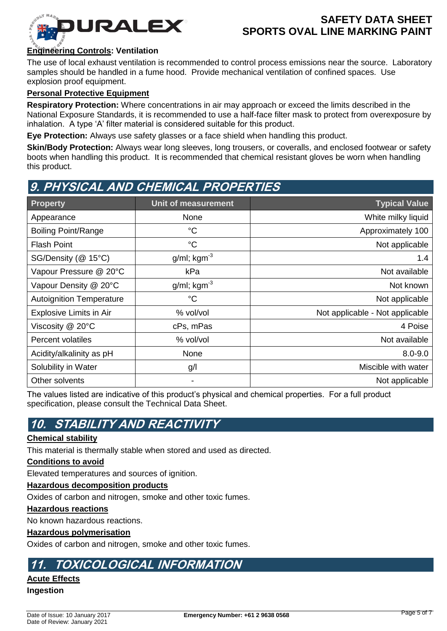

## **Engineering Controls: Ventilation**

The use of local exhaust ventilation is recommended to control process emissions near the source. Laboratory samples should be handled in a fume hood. Provide mechanical ventilation of confined spaces. Use explosion proof equipment.

### **Personal Protective Equipment**

**Respiratory Protection:** Where concentrations in air may approach or exceed the limits described in the National Exposure Standards, it is recommended to use a half-face filter mask to protect from overexposure by inhalation. A type 'A' filter material is considered suitable for this product.

**Eye Protection:** Always use safety glasses or a face shield when handling this product.

**Skin/Body Protection:** Always wear long sleeves, long trousers, or coveralls, and enclosed footwear or safety boots when handling this product. It is recommended that chemical resistant gloves be worn when handling this product.

# **9. PHYSICAL AND CHEMICAL PROPERTIES**

| <b>Property</b>                 | Unit of measurement        | <b>Typical Value</b>            |
|---------------------------------|----------------------------|---------------------------------|
| Appearance                      | None                       | White milky liquid              |
| <b>Boiling Point/Range</b>      | $^{\circ}C$                | Approximately 100               |
| <b>Flash Point</b>              | $^{\circ}C$                | Not applicable                  |
| SG/Density (@ 15°C)             | $g/ml$ ; kgm <sup>-3</sup> | 1.4                             |
| Vapour Pressure @ 20°C          | kPa                        | Not available                   |
| Vapour Density @ 20°C           | $g/ml$ ; kgm $^{-3}$       | Not known                       |
| <b>Autoignition Temperature</b> | $^{\circ}C$                | Not applicable                  |
| Explosive Limits in Air         | % vol/vol                  | Not applicable - Not applicable |
| Viscosity @ 20°C                | cPs, mPas                  | 4 Poise                         |
| <b>Percent volatiles</b>        | % vol/vol                  | Not available                   |
| Acidity/alkalinity as pH        | None                       | $8.0 - 9.0$                     |
| Solubility in Water             | g/l                        | Miscible with water             |
| Other solvents                  | -                          | Not applicable                  |

The values listed are indicative of this product's physical and chemical properties. For a full product specification, please consult the Technical Data Sheet.

# **10. STABILITY AND REACTIVITY**

### **Chemical stability**

This material is thermally stable when stored and used as directed.

### **Conditions to avoid**

Elevated temperatures and sources of ignition.

### **Hazardous decomposition products**

Oxides of carbon and nitrogen, smoke and other toxic fumes.

#### **Hazardous reactions**

No known hazardous reactions.

#### **Hazardous polymerisation**

Oxides of carbon and nitrogen, smoke and other toxic fumes.

# **11. TOXICOLOGICAL INFORMATION**

# **Acute Effects**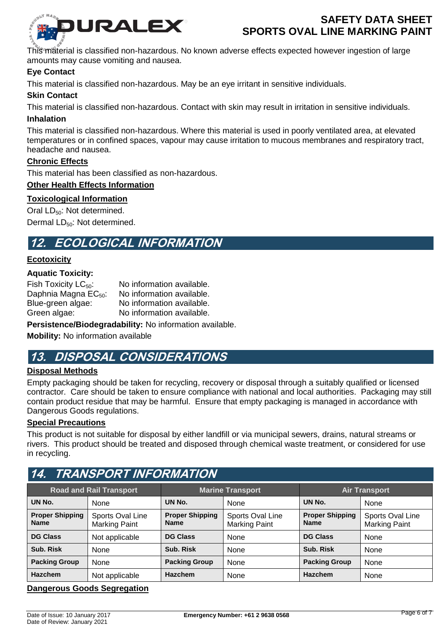

This material is classified non-hazardous. No known adverse effects expected however ingestion of large amounts may cause vomiting and nausea.

## **Eye Contact**

This material is classified non-hazardous. May be an eye irritant in sensitive individuals.

### **Skin Contact**

This material is classified non-hazardous. Contact with skin may result in irritation in sensitive individuals.

### **Inhalation**

This material is classified non-hazardous. Where this material is used in poorly ventilated area, at elevated temperatures or in confined spaces, vapour may cause irritation to mucous membranes and respiratory tract, headache and nausea.

## **Chronic Effects**

This material has been classified as non-hazardous.

### **Other Health Effects Information**

### **Toxicological Information**

Oral  $LD_{50}$ : Not determined.

Dermal LD<sub>50</sub>: Not determined.

# **12. ECOLOGICAL INFORMATION**

### **Ecotoxicity**

### **Aquatic Toxicity:**

Fish Toxicity  $LC_{50}$ : No information available. Daphnia Magna  $EC_{50}$ : No information available.<br>Blue-green algae: No information available. Blue-green algae: No information available.<br>Green algae: No information available. No information available.

**Persistence/Biodegradability:** No information available.

**Mobility:** No information available

# **13. DISPOSAL CONSIDERATIONS**

## **Disposal Methods**

Empty packaging should be taken for recycling, recovery or disposal through a suitably qualified or licensed contractor. Care should be taken to ensure compliance with national and local authorities. Packaging may still contain product residue that may be harmful. Ensure that empty packaging is managed in accordance with Dangerous Goods regulations.

### **Special Precautions**

This product is not suitable for disposal by either landfill or via municipal sewers, drains, natural streams or rivers. This product should be treated and disposed through chemical waste treatment, or considered for use in recycling.

# **14. TRANSPORT INFORMATION**

| <b>Road and Rail Transport</b>        |                                          | <b>Marine Transport</b>               |                                          | <b>Air Transport</b>                  |                                          |
|---------------------------------------|------------------------------------------|---------------------------------------|------------------------------------------|---------------------------------------|------------------------------------------|
| UN No.                                | None                                     | UN No.                                | None                                     | UN No.                                | None                                     |
| <b>Proper Shipping</b><br><b>Name</b> | Sports Oval Line<br><b>Marking Paint</b> | <b>Proper Shipping</b><br><b>Name</b> | Sports Oval Line<br><b>Marking Paint</b> | <b>Proper Shipping</b><br><b>Name</b> | Sports Oval Line<br><b>Marking Paint</b> |
| <b>DG Class</b>                       | Not applicable                           | <b>DG Class</b>                       | None                                     | <b>DG Class</b>                       | None                                     |
| Sub. Risk                             | None                                     | Sub. Risk                             | None                                     | Sub. Risk                             | None                                     |
| <b>Packing Group</b>                  | None                                     | <b>Packing Group</b>                  | None                                     | <b>Packing Group</b>                  | None                                     |
| <b>Hazchem</b>                        | Not applicable                           | <b>Hazchem</b>                        | None                                     | Hazchem                               | None                                     |

### **Dangerous Goods Segregation**